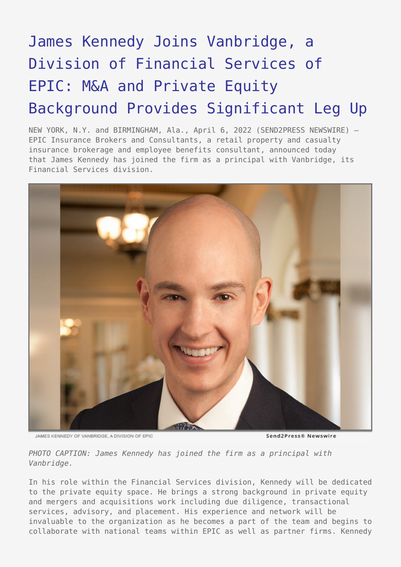# [James Kennedy Joins Vanbridge, a](https://www.send2press.com/wire/james-kennedy-joins-vanbridge-a-division-of-financial-services-of-epic-ma-and-private-equity-background-provides-significant-leg-up/) [Division of Financial Services of](https://www.send2press.com/wire/james-kennedy-joins-vanbridge-a-division-of-financial-services-of-epic-ma-and-private-equity-background-provides-significant-leg-up/) [EPIC: M&A and Private Equity](https://www.send2press.com/wire/james-kennedy-joins-vanbridge-a-division-of-financial-services-of-epic-ma-and-private-equity-background-provides-significant-leg-up/) [Background Provides Significant Leg Up](https://www.send2press.com/wire/james-kennedy-joins-vanbridge-a-division-of-financial-services-of-epic-ma-and-private-equity-background-provides-significant-leg-up/)

NEW YORK, N.Y. and BIRMINGHAM, Ala., April 6, 2022 (SEND2PRESS NEWSWIRE) — EPIC Insurance Brokers and Consultants, a retail property and casualty insurance brokerage and employee benefits consultant, announced today that James Kennedy has joined the firm as a principal with Vanbridge, its Financial Services division.



**JAMES KENNEDY OF VANRRIDGE, A DIVISION OF FRIC.** 

Send2Press® Newswire

*PHOTO CAPTION: James Kennedy has joined the firm as a principal with Vanbridge.*

In his role within the Financial Services division, Kennedy will be dedicated to the private equity space. He brings a strong background in private equity and mergers and acquisitions work including due diligence, transactional services, advisory, and placement. His experience and network will be invaluable to the organization as he becomes a part of the team and begins to collaborate with national teams within EPIC as well as partner firms. Kennedy